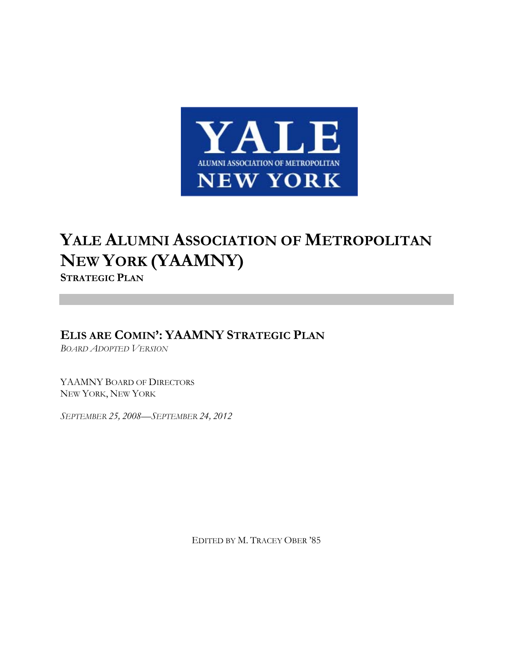

# **YALE ALUMNI ASSOCIATION OF METROPOLITAN NEW YORK (YAAMNY)**

**STRATEGIC PLAN**

**ELIS ARE COMIN': YAAMNY STRATEGIC PLAN**

*BOARD ADOPTED VERSION*

YAAMNY BOARD OF DIRECTORS NEW YORK, NEW YORK

*SEPTEMBER 25, 2008—SEPTEMBER 24, 2012*

EDITED BY M. TRACEY OBER '85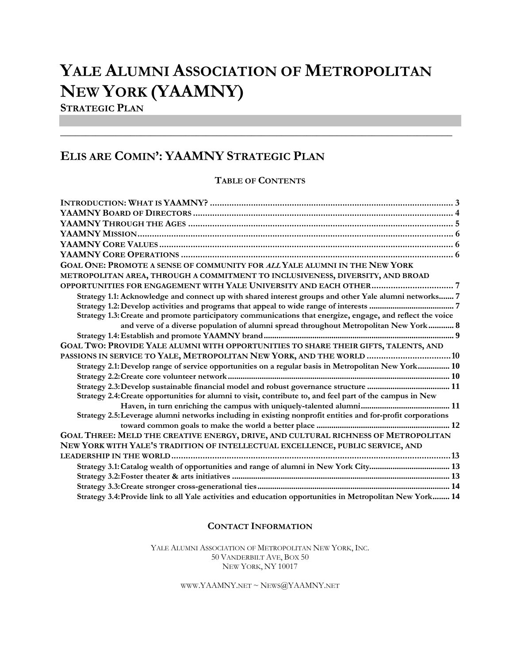# **YALE ALUMNI ASSOCIATION OF METROPOLITAN NEW YORK (YAAMNY)**

**STRATEGIC PLAN**

# **ELIS ARE COMIN': YAAMNY STRATEGIC PLAN**

# **TABLE OF CONTENTS**

\_\_\_\_\_\_\_\_\_\_\_\_\_\_\_\_\_\_\_\_\_\_\_\_\_\_\_\_\_\_\_\_\_\_\_\_\_\_\_\_\_\_\_\_\_\_\_\_\_\_\_\_\_\_\_\_\_\_\_\_\_\_\_\_\_\_\_\_\_\_\_\_\_\_\_\_\_\_

| GOAL ONE: PROMOTE A SENSE OF COMMUNITY FOR ALL YALE ALUMNI IN THE NEW YORK                                  |
|-------------------------------------------------------------------------------------------------------------|
| METROPOLITAN AREA, THROUGH A COMMITMENT TO INCLUSIVENESS, DIVERSITY, AND BROAD                              |
|                                                                                                             |
| Strategy 1.1: Acknowledge and connect up with shared interest groups and other Yale alumni networks 7       |
|                                                                                                             |
| Strategy 1.3: Create and promote participatory communications that energize, engage, and reflect the voice  |
| and verve of a diverse population of alumni spread throughout Metropolitan New York 8                       |
|                                                                                                             |
| GOAL TWO: PROVIDE YALE ALUMNI WITH OPPORTUNITIES TO SHARE THEIR GIFTS, TALENTS, AND                         |
| PASSIONS IN SERVICE TO YALE, METROPOLITAN NEW YORK, AND THE WORLD  10                                       |
| Strategy 2.1: Develop range of service opportunities on a regular basis in Metropolitan New York 10         |
|                                                                                                             |
| Strategy 2.3: Develop sustainable financial model and robust governance structure  11                       |
| Strategy 2.4: Create opportunities for alumni to visit, contribute to, and feel part of the campus in New   |
|                                                                                                             |
| Strategy 2.5: Leverage alumni networks including in existing nonprofit entities and for-profit corporations |
|                                                                                                             |
| GOAL THREE: MELD THE CREATIVE ENERGY, DRIVE, AND CULTURAL RICHNESS OF METROPOLITAN                          |
| NEW YORK WITH YALE'S TRADITION OF INTELLECTUAL EXCELLENCE, PUBLIC SERVICE, AND                              |
|                                                                                                             |
|                                                                                                             |
|                                                                                                             |
|                                                                                                             |
| Strategy 3.4: Provide link to all Yale activities and education opportunities in Metropolitan New York 14   |

#### **CONTACT INFORMATION**

YALE ALUMNI ASSOCIATION OF METROPOLITAN NEW YORK, INC. 50 VANDERBILT AVE, BOX 50 NEW YORK, NY 10017

WWW.YAAMNY.NET ~  $News@YAAMNY.$ NET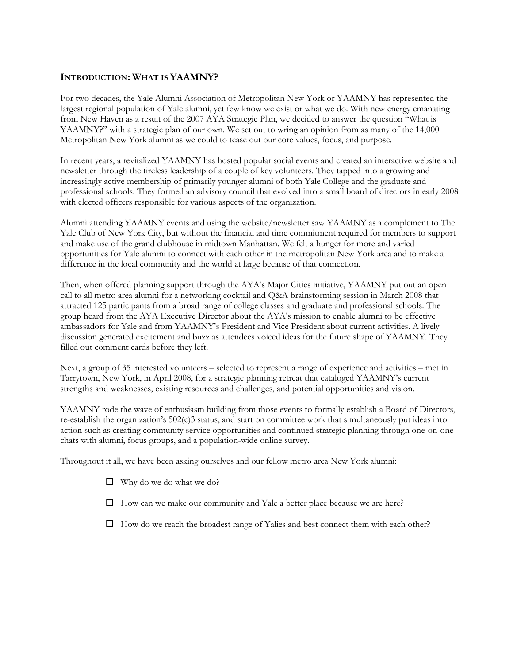#### <span id="page-2-0"></span>**INTRODUCTION: WHAT IS YAAMNY?**

For two decades, the Yale Alumni Association of Metropolitan New York or YAAMNY has represented the largest regional population of Yale alumni, yet few know we exist or what we do. With new energy emanating from New Haven as a result of the 2007 AYA Strategic Plan, we decided to answer the question "What is YAAMNY?" with a strategic plan of our own. We set out to wring an opinion from as many of the 14,000 Metropolitan New York alumni as we could to tease out our core values, focus, and purpose.

In recent years, a revitalized YAAMNY has hosted popular social events and created an interactive website and newsletter through the tireless leadership of a couple of key volunteers. They tapped into a growing and increasingly active membership of primarily younger alumni of both Yale College and the graduate and professional schools. They formed an advisory council that evolved into a small board of directors in early 2008 with elected officers responsible for various aspects of the organization.

Alumni attending YAAMNY events and using the website/newsletter saw YAAMNY as a complement to The Yale Club of New York City, but without the financial and time commitment required for members to support and make use of the grand clubhouse in midtown Manhattan. We felt a hunger for more and varied opportunities for Yale alumni to connect with each other in the metropolitan New York area and to make a difference in the local community and the world at large because of that connection.

Then, when offered planning support through the AYA's Major Cities initiative, YAAMNY put out an open call to all metro area alumni for a networking cocktail and Q&A brainstorming session in March 2008 that attracted 125 participants from a broad range of college classes and graduate and professional schools. The group heard from the AYA Executive Director about the AYA's mission to enable alumni to be effective ambassadors for Yale and from YAAMNY's President and Vice President about current activities. A lively discussion generated excitement and buzz as attendees voiced ideas for the future shape of YAAMNY. They filled out comment cards before they left.

Next, a group of 35 interested volunteers – selected to represent a range of experience and activities – met in Tarrytown, New York, in April 2008, for a strategic planning retreat that cataloged YAAMNY's current strengths and weaknesses, existing resources and challenges, and potential opportunities and vision.

YAAMNY rode the wave of enthusiasm building from those events to formally establish a Board of Directors, re-establish the organization's 502(c)3 status, and start on committee work that simultaneously put ideas into action such as creating community service opportunities and continued strategic planning through one-on-one chats with alumni, focus groups, and a population-wide online survey.

Throughout it all, we have been asking ourselves and our fellow metro area New York alumni:

- $\Box$  Why do we do what we do?
- $\Box$  How can we make our community and Yale a better place because we are here?
- $\Box$  How do we reach the broadest range of Yalies and best connect them with each other?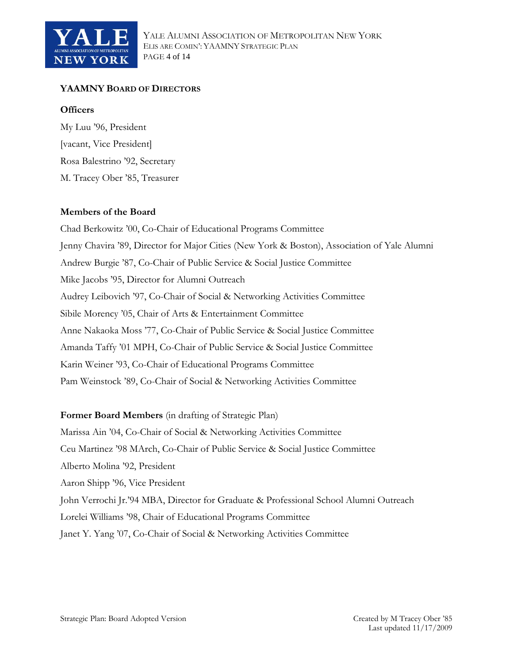<span id="page-3-0"></span>

# **YAAMNY BOARD OF DIRECTORS**

### **Officers**

My Luu '96, President [vacant, Vice President] Rosa Balestrino '92, Secretary M. Tracey Ober '85, Treasurer

# **Members of the Board**

Chad Berkowitz '00, Co-Chair of Educational Programs Committee Jenny Chavira '89, Director for Major Cities (New York & Boston), Association of Yale Alumni Andrew Burgie '87, Co-Chair of Public Service & Social Justice Committee Mike Jacobs '95, Director for Alumni Outreach Audrey Leibovich '97, Co-Chair of Social & Networking Activities Committee Sibile Morency '05, Chair of Arts & Entertainment Committee Anne Nakaoka Moss '77, Co-Chair of Public Service & Social Justice Committee Amanda Taffy '01 MPH, Co-Chair of Public Service & Social Justice Committee Karin Weiner '93, Co-Chair of Educational Programs Committee Pam Weinstock '89, Co-Chair of Social & Networking Activities Committee

# **Former Board Members** (in drafting of Strategic Plan)

Marissa Ain '04, Co-Chair of Social & Networking Activities Committee Ceu Martinez '98 MArch, Co-Chair of Public Service & Social Justice Committee Alberto Molina '92, President Aaron Shipp '96, Vice President John Verrochi Jr.'94 MBA, Director for Graduate & Professional School Alumni Outreach Lorelei Williams '98, Chair of Educational Programs Committee Janet Y. Yang '07, Co-Chair of Social & Networking Activities Committee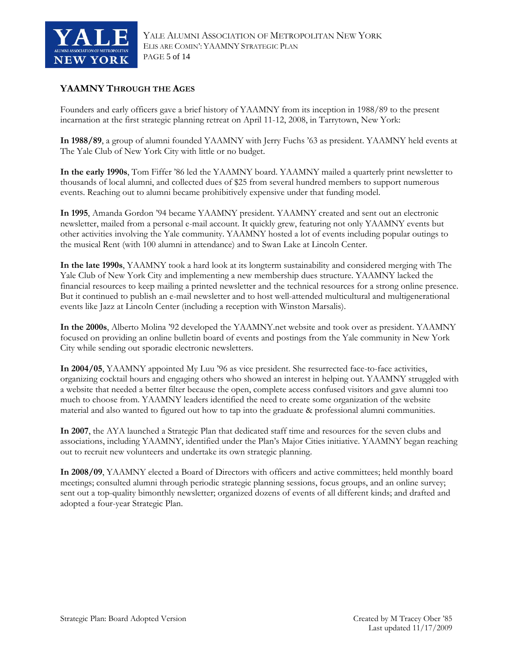<span id="page-4-0"></span>

# **YAAMNY THROUGH THE AGES**

Founders and early officers gave a brief history of YAAMNY from its inception in 1988/89 to the present incarnation at the first strategic planning retreat on April 11-12, 2008, in Tarrytown, New York:

**In 1988/89**, a group of alumni founded YAAMNY with Jerry Fuchs '63 as president. YAAMNY held events at The Yale Club of New York City with little or no budget.

**In the early 1990s**, Tom Fiffer '86 led the YAAMNY board. YAAMNY mailed a quarterly print newsletter to thousands of local alumni, and collected dues of \$25 from several hundred members to support numerous events. Reaching out to alumni became prohibitively expensive under that funding model.

**In 1995**, Amanda Gordon '94 became YAAMNY president. YAAMNY created and sent out an electronic newsletter, mailed from a personal e-mail account. It quickly grew, featuring not only YAAMNY events but other activities involving the Yale community. YAAMNY hosted a lot of events including popular outings to the musical Rent (with 100 alumni in attendance) and to Swan Lake at Lincoln Center.

**In the late 1990s**, YAAMNY took a hard look at its longterm sustainability and considered merging with The Yale Club of New York City and implementing a new membership dues structure. YAAMNY lacked the financial resources to keep mailing a printed newsletter and the technical resources for a strong online presence. But it continued to publish an e-mail newsletter and to host well-attended multicultural and multigenerational events like Jazz at Lincoln Center (including a reception with Winston Marsalis).

**In the 2000s**, Alberto Molina '92 developed the [YAAMNY.net](http://yaamny.net/) website and took over as president. YAAMNY focused on providing an online bulletin board of events and postings from the Yale community in New York City while sending out sporadic electronic newsletters.

**In 2004/05**, YAAMNY appointed My Luu '96 as vice president. She resurrected face-to-face activities, organizing cocktail hours and engaging others who showed an interest in helping out. YAAMNY struggled with a website that needed a better filter because the open, complete access confused visitors and gave alumni too much to choose from. YAAMNY leaders identified the need to create some organization of the website material and also wanted to figured out how to tap into the graduate & professional alumni communities.

**In 2007**, the AYA launched a Strategic Plan that dedicated staff time and resources for the seven clubs and associations, including YAAMNY, identified under the Plan's Major Cities initiative. YAAMNY began reaching out to recruit new volunteers and undertake its own strategic planning.

**In 2008/09**, YAAMNY elected a Board of Directors with officers and active committees; held monthly board meetings; consulted alumni through periodic strategic planning sessions, focus groups, and an online survey; sent out a top-quality bimonthly newsletter; organized dozens of events of all different kinds; and drafted and adopted a four-year Strategic Plan.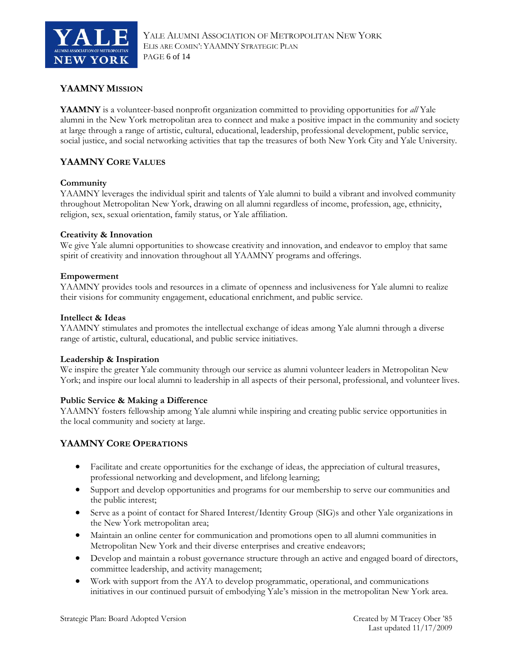<span id="page-5-0"></span>

# **YAAMNY MISSION**

**YAAMNY** is a volunteer-based nonprofit organization committed to providing opportunities for *all* Yale alumni in the New York metropolitan area to connect and make a positive impact in the community and society at large through a range of artistic, cultural, educational, leadership, professional development, public service, social justice, and social networking activities that tap the treasures of both New York City and Yale University.

# **YAAMNY CORE VALUES**

#### **Community**

YAAMNY leverages the individual spirit and talents of Yale alumni to build a vibrant and involved community throughout Metropolitan New York, drawing on all alumni regardless of income, profession, age, ethnicity, religion, sex, sexual orientation, family status, or Yale affiliation.

#### **Creativity & Innovation**

We give Yale alumni opportunities to showcase creativity and innovation, and endeavor to employ that same spirit of creativity and innovation throughout all YAAMNY programs and offerings.

#### **Empowerment**

YAAMNY provides tools and resources in a climate of openness and inclusiveness for Yale alumni to realize their visions for community engagement, educational enrichment, and public service.

#### **Intellect & Ideas**

YAAMNY stimulates and promotes the intellectual exchange of ideas among Yale alumni through a diverse range of artistic, cultural, educational, and public service initiatives.

#### **Leadership & Inspiration**

We inspire the greater Yale community through our service as alumni volunteer leaders in Metropolitan New York; and inspire our local alumni to leadership in all aspects of their personal, professional, and volunteer lives.

#### **Public Service & Making a Difference**

YAAMNY fosters fellowship among Yale alumni while inspiring and creating public service opportunities in the local community and society at large.

#### **YAAMNY CORE OPERATIONS**

- Facilitate and create opportunities for the exchange of ideas, the appreciation of cultural treasures, professional networking and development, and lifelong learning;
- Support and develop opportunities and programs for our membership to serve our communities and the public interest;
- Serve as a point of contact for Shared Interest/Identity Group (SIG)s and other Yale organizations in the New York metropolitan area;
- Maintain an online center for communication and promotions open to all alumni communities in Metropolitan New York and their diverse enterprises and creative endeavors;
- Develop and maintain a robust governance structure through an active and engaged board of directors, committee leadership, and activity management;
- Work with support from the AYA to develop programmatic, operational, and communications initiatives in our continued pursuit of embodying Yale's mission in the metropolitan New York area.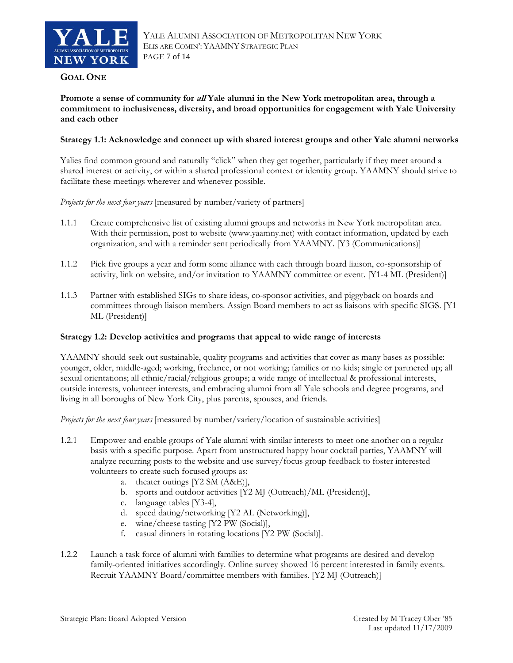<span id="page-6-0"></span>

#### **GOAL ONE**

**Promote a sense of community for all Yale alumni in the New York metropolitan area, through a commitment to inclusiveness, diversity, and broad opportunities for engagement with Yale University and each other** 

#### **Strategy 1.1: Acknowledge and connect up with shared interest groups and other Yale alumni networks**

Yalies find common ground and naturally "click" when they get together, particularly if they meet around a shared interest or activity, or within a shared professional context or identity group. YAAMNY should strive to facilitate these meetings wherever and whenever possible.

*Projects for the next four years* [measured by number/variety of partners]

- 1.1.1 Create comprehensive list of existing alumni groups and networks in New York metropolitan area. With their permission, post to website (www.yaamny.net) with contact information, updated by each organization, and with a reminder sent periodically from YAAMNY. [Y3 (Communications)]
- 1.1.2 Pick five groups a year and form some alliance with each through board liaison, co-sponsorship of activity, link on website, and/or invitation to YAAMNY committee or event. [Y1-4 ML (President)]
- 1.1.3 Partner with established SIGs to share ideas, co-sponsor activities, and piggyback on boards and committees through liaison members. Assign Board members to act as liaisons with specific SIGS. [Y1 ML (President)]

#### **Strategy 1.2: Develop activities and programs that appeal to wide range of interests**

YAAMNY should seek out sustainable, quality programs and activities that cover as many bases as possible: younger, older, middle-aged; working, freelance, or not working; families or no kids; single or partnered up; all sexual orientations; all ethnic/racial/religious groups; a wide range of intellectual & professional interests, outside interests, volunteer interests, and embracing alumni from all Yale schools and degree programs, and living in all boroughs of New York City, plus parents, spouses, and friends.

*Projects for the next four years* [measured by number/variety/location of sustainable activities]

- 1.2.1 Empower and enable groups of Yale alumni with similar interests to meet one another on a regular basis with a specific purpose. Apart from unstructured happy hour cocktail parties, YAAMNY will analyze recurring posts to the website and use survey/focus group feedback to foster interested volunteers to create such focused groups as:
	- a. theater outings [Y2 SM (A&E)],
	- b. sports and outdoor activities [Y2 MJ (Outreach)/ML (President)],
	- c. language tables [Y3-4],
	- d. speed dating/networking [Y2 AL (Networking)],
	- e. wine/cheese tasting [Y2 PW (Social)],
	- f. casual dinners in rotating locations [Y2 PW (Social)].
- 1.2.2 Launch a task force of alumni with families to determine what programs are desired and develop family-oriented initiatives accordingly. Online survey showed 16 percent interested in family events. Recruit YAAMNY Board/committee members with families. [Y2 MJ (Outreach)]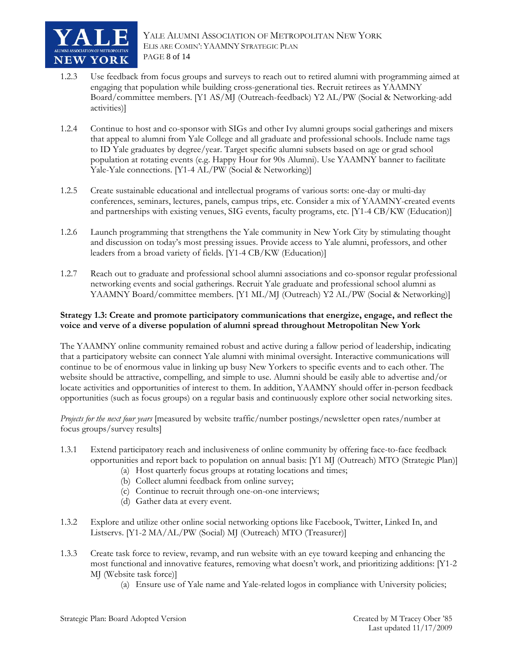<span id="page-7-0"></span>

- 1.2.3 Use feedback from focus groups and surveys to reach out to retired alumni with programming aimed at engaging that population while building cross-generational ties. Recruit retirees as YAAMNY Board/committee members. [Y1 AS/MJ (Outreach-feedback) Y2 AL/PW (Social & Networking-add activities)]
- 1.2.4 Continue to host and co-sponsor with SIGs and other Ivy alumni groups social gatherings and mixers that appeal to alumni from Yale College and all graduate and professional schools. Include name tags to ID Yale graduates by degree/year. Target specific alumni subsets based on age or grad school population at rotating events (e.g. Happy Hour for 90s Alumni). Use YAAMNY banner to facilitate Yale-Yale connections. [Y1-4 AL/PW (Social & Networking)]
- 1.2.5 Create sustainable educational and intellectual programs of various sorts: one-day or multi-day conferences, seminars, lectures, panels, campus trips, etc. Consider a mix of YAAMNY-created events and partnerships with existing venues, SIG events, faculty programs, etc. [Y1-4 CB/KW (Education)]
- 1.2.6 Launch programming that strengthens the Yale community in New York City by stimulating thought and discussion on today's most pressing issues. Provide access to Yale alumni, professors, and other leaders from a broad variety of fields. [Y1-4 CB/KW (Education)]
- 1.2.7 Reach out to graduate and professional school alumni associations and co-sponsor regular professional networking events and social gatherings. Recruit Yale graduate and professional school alumni as YAAMNY Board/committee members. [Y1 ML/MJ (Outreach) Y2 AL/PW (Social & Networking)]

#### **Strategy 1.3: Create and promote participatory communications that energize, engage, and reflect the voice and verve of a diverse population of alumni spread throughout Metropolitan New York**

The YAAMNY online community remained robust and active during a fallow period of leadership, indicating that a participatory website can connect Yale alumni with minimal oversight. Interactive communications will continue to be of enormous value in linking up busy New Yorkers to specific events and to each other. The website should be attractive, compelling, and simple to use. Alumni should be easily able to advertise and/or locate activities and opportunities of interest to them. In addition, YAAMNY should offer in-person feedback opportunities (such as focus groups) on a regular basis and continuously explore other social networking sites.

*Projects for the next four years* [measured by website traffic/number postings/newsletter open rates/number at focus groups/survey results]

- 1.3.1 Extend participatory reach and inclusiveness of online community by offering face-to-face feedback opportunities and report back to population on annual basis: [Y1 MJ (Outreach) MTO (Strategic Plan)]
	- (a) Host quarterly focus groups at rotating locations and times;
	- (b) Collect alumni feedback from online survey;
	- (c) Continue to recruit through one-on-one interviews;
	- (d) Gather data at every event.
- 1.3.2 Explore and utilize other online social networking options like Facebook, Twitter, Linked In, and Listservs. [Y1-2 MA/AL/PW (Social) MJ (Outreach) MTO (Treasurer)]
- 1.3.3 Create task force to review, revamp, and run website with an eye toward keeping and enhancing the most functional and innovative features, removing what doesn't work, and prioritizing additions: [Y1-2 MJ (Website task force)]
	- (a) Ensure use of Yale name and Yale-related logos in compliance with University policies;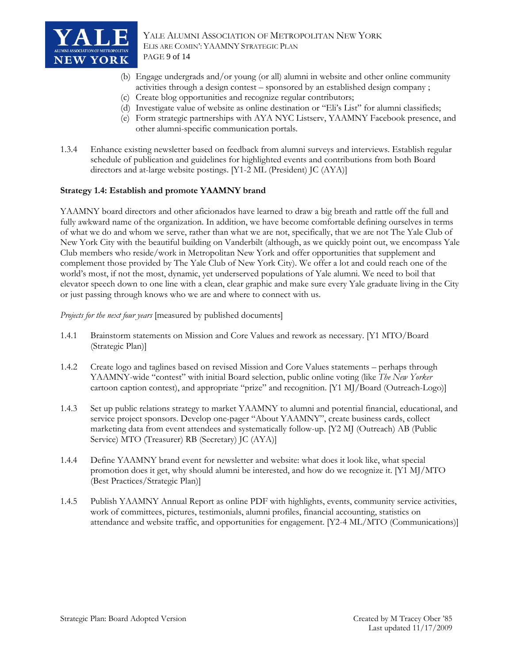<span id="page-8-0"></span>

YALE ALUMNI ASSOCIATION OF METROPOLITAN NEW YORK ELIS ARE COMIN': YAAMNY STRATEGIC PLAN PAGE 9 of 14

- (b) Engage undergrads and/or young (or all) alumni in website and other online community activities through a design contest – sponsored by an established design company ;
- (c) Create blog opportunities and recognize regular contributors;
- (d) Investigate value of website as online destination or "Eli's List" for alumni classifieds;
- (e) Form strategic partnerships with AYA NYC Listserv, YAAMNY Facebook presence, and other alumni-specific communication portals.
- 1.3.4 Enhance existing newsletter based on feedback from alumni surveys and interviews. Establish regular schedule of publication and guidelines for highlighted events and contributions from both Board directors and at-large website postings. [Y1-2 ML (President) JC (AYA)]

#### **Strategy 1.4: Establish and promote YAAMNY brand**

YAAMNY board directors and other aficionados have learned to draw a big breath and rattle off the full and fully awkward name of the organization. In addition, we have become comfortable defining ourselves in terms of what we do and whom we serve, rather than what we are not, specifically, that we are not The Yale Club of New York City with the beautiful building on Vanderbilt (although, as we quickly point out, we encompass Yale Club members who reside/work in Metropolitan New York and offer opportunities that supplement and complement those provided by The Yale Club of New York City). We offer a lot and could reach one of the world's most, if not the most, dynamic, yet underserved populations of Yale alumni. We need to boil that elevator speech down to one line with a clean, clear graphic and make sure every Yale graduate living in the City or just passing through knows who we are and where to connect with us.

*Projects for the next four years* [measured by published documents]

- 1.4.1 Brainstorm statements on Mission and Core Values and rework as necessary. [Y1 MTO/Board (Strategic Plan)]
- 1.4.2 Create logo and taglines based on revised Mission and Core Values statements perhaps through YAAMNY-wide "contest" with initial Board selection, public online voting (like *The New Yorker* cartoon caption contest), and appropriate "prize" and recognition. [Y1 MJ/Board (Outreach-Logo)]
- 1.4.3 Set up public relations strategy to market YAAMNY to alumni and potential financial, educational, and service project sponsors. Develop one-pager "About YAAMNY", create business cards, collect marketing data from event attendees and systematically follow-up. [Y2 MJ (Outreach) AB (Public Service) MTO (Treasurer) RB (Secretary) JC (AYA)]
- 1.4.4 Define YAAMNY brand event for newsletter and website: what does it look like, what special promotion does it get, why should alumni be interested, and how do we recognize it. [Y1 MJ/MTO (Best Practices/Strategic Plan)]
- 1.4.5 Publish YAAMNY Annual Report as online PDF with highlights, events, community service activities, work of committees, pictures, testimonials, alumni profiles, financial accounting, statistics on attendance and website traffic, and opportunities for engagement. [Y2-4 ML/MTO (Communications)]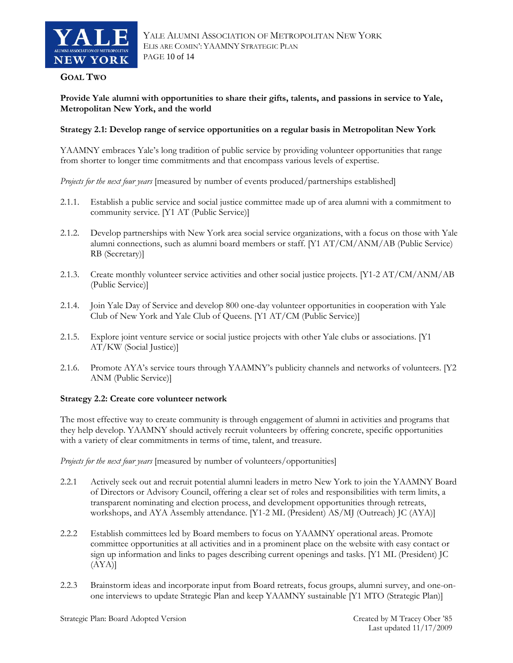<span id="page-9-0"></span>

#### **GOAL TWO**

**Provide Yale alumni with opportunities to share their gifts, talents, and passions in service to Yale, Metropolitan New York, and the world** 

#### **Strategy 2.1: Develop range of service opportunities on a regular basis in Metropolitan New York**

YAAMNY embraces Yale's long tradition of public service by providing volunteer opportunities that range from shorter to longer time commitments and that encompass various levels of expertise.

*Projects for the next four years* [measured by number of events produced/partnerships established]

- 2.1.1. Establish a public service and social justice committee made up of area alumni with a commitment to community service. [Y1 AT (Public Service)]
- 2.1.2. Develop partnerships with New York area social service organizations, with a focus on those with Yale alumni connections, such as alumni board members or staff. [Y1 AT/CM/ANM/AB (Public Service) RB (Secretary)]
- 2.1.3. Create monthly volunteer service activities and other social justice projects. [Y1-2 AT/CM/ANM/AB (Public Service)]
- 2.1.4. Join Yale Day of Service and develop 800 one-day volunteer opportunities in cooperation with Yale Club of New York and Yale Club of Queens. [Y1 AT/CM (Public Service)]
- 2.1.5. Explore joint venture service or social justice projects with other Yale clubs or associations. [Y1 AT/KW (Social Justice)]
- 2.1.6. Promote AYA's service tours through YAAMNY's publicity channels and networks of volunteers. [Y2 ANM (Public Service)]

#### **Strategy 2.2: Create core volunteer network**

The most effective way to create community is through engagement of alumni in activities and programs that they help develop. YAAMNY should actively recruit volunteers by offering concrete, specific opportunities with a variety of clear commitments in terms of time, talent, and treasure.

*Projects for the next four years* [measured by number of volunteers/opportunities]

- 2.2.1 Actively seek out and recruit potential alumni leaders in metro New York to join the YAAMNY Board of Directors or Advisory Council, offering a clear set of roles and responsibilities with term limits, a transparent nominating and election process, and development opportunities through retreats, workshops, and AYA Assembly attendance. [Y1-2 ML (President) AS/MJ (Outreach) JC (AYA)]
- 2.2.2 Establish committees led by Board members to focus on YAAMNY operational areas. Promote committee opportunities at all activities and in a prominent place on the website with easy contact or sign up information and links to pages describing current openings and tasks. [Y1 ML (President) JC (AYA)]
- 2.2.3 Brainstorm ideas and incorporate input from Board retreats, focus groups, alumni survey, and one-onone interviews to update Strategic Plan and keep YAAMNY sustainable [Y1 MTO (Strategic Plan)]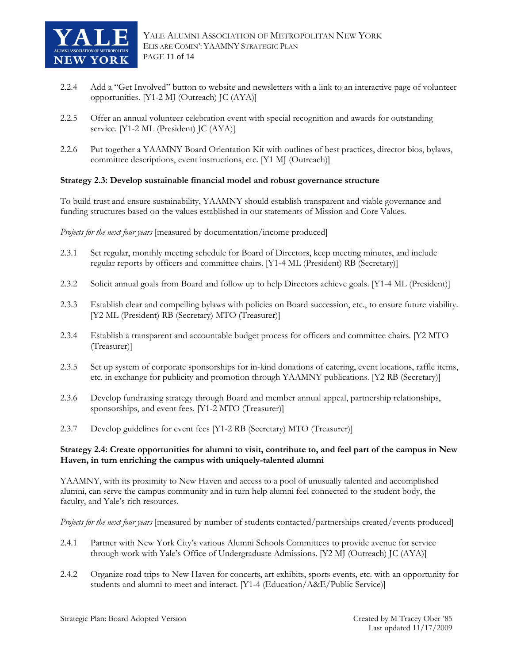<span id="page-10-0"></span>

- 2.2.4 Add a "Get Involved" button to website and newsletters with a link to an interactive page of volunteer opportunities. [Y1-2 MJ (Outreach) JC (AYA)]
- 2.2.5 Offer an annual volunteer celebration event with special recognition and awards for outstanding service. [Y1-2 ML (President) JC (AYA)]
- 2.2.6 Put together a YAAMNY Board Orientation Kit with outlines of best practices, director bios, bylaws, committee descriptions, event instructions, etc. [Y1 MJ (Outreach)]

#### **Strategy 2.3: Develop sustainable financial model and robust governance structure**

To build trust and ensure sustainability, YAAMNY should establish transparent and viable governance and funding structures based on the values established in our statements of Mission and Core Values.

*Projects for the next four years* [measured by documentation/income produced]

- 2.3.1 Set regular, monthly meeting schedule for Board of Directors, keep meeting minutes, and include regular reports by officers and committee chairs. [Y1-4 ML (President) RB (Secretary)]
- 2.3.2 Solicit annual goals from Board and follow up to help Directors achieve goals. [Y1-4 ML (President)]
- 2.3.3 Establish clear and compelling bylaws with policies on Board succession, etc., to ensure future viability. [Y2 ML (President) RB (Secretary) MTO (Treasurer)]
- 2.3.4 Establish a transparent and accountable budget process for officers and committee chairs. [Y2 MTO (Treasurer)]
- 2.3.5 Set up system of corporate sponsorships for in-kind donations of catering, event locations, raffle items, etc. in exchange for publicity and promotion through YAAMNY publications. [Y2 RB (Secretary)]
- 2.3.6 Develop fundraising strategy through Board and member annual appeal, partnership relationships, sponsorships, and event fees. [Y1-2 MTO (Treasurer)]
- 2.3.7 Develop guidelines for event fees [Y1-2 RB (Secretary) MTO (Treasurer)]

#### **Strategy 2.4: Create opportunities for alumni to visit, contribute to, and feel part of the campus in New Haven, in turn enriching the campus with uniquely-talented alumni**

YAAMNY, with its proximity to New Haven and access to a pool of unusually talented and accomplished alumni, can serve the campus community and in turn help alumni feel connected to the student body, the faculty, and Yale's rich resources.

*Projects for the next four years* [measured by number of students contacted/partnerships created/events produced]

- 2.4.1 Partner with New York City's various Alumni Schools Committees to provide avenue for service through work with Yale's Office of Undergraduate Admissions. [Y2 MJ (Outreach) JC (AYA)]
- 2.4.2 Organize road trips to New Haven for concerts, art exhibits, sports events, etc. with an opportunity for students and alumni to meet and interact. [Y1-4 (Education/A&E/Public Service)]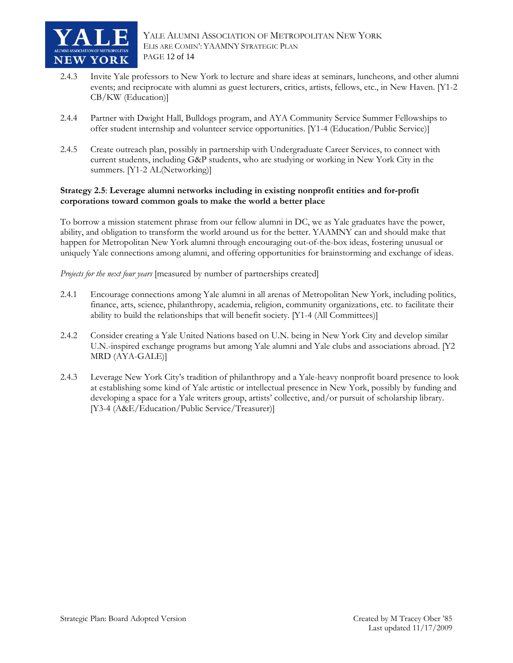<span id="page-11-0"></span>

- 2.4.3 Invite Yale professors to New York to lecture and share ideas at seminars, luncheons, and other alumni events; and reciprocate with alumni as guest lecturers, critics, artists, fellows, etc., in New Haven. [Y1-2 CB/KW (Education)]
- 2.4.4 Partner with Dwight Hall, Bulldogs program, and AYA Community Service Summer Fellowships to offer student internship and volunteer service opportunities. [Y1-4 (Education/Public Service)]
- 2.4.5 Create outreach plan, possibly in partnership with Undergraduate Career Services, to connect with current students, including G&P students, who are studying or working in New York City in the summers. [Y1-2 AL(Networking)]

#### **Strategy 2.5**: **Leverage alumni networks including in existing nonprofit entities and for-profit corporations toward common goals to make the world a better place**

To borrow a mission statement phrase from our fellow alumni in DC, we as Yale graduates have the power, ability, and obligation to transform the world around us for the better. YAAMNY can and should make that happen for Metropolitan New York alumni through encouraging out-of-the-box ideas, fostering unusual or uniquely Yale connections among alumni, and offering opportunities for brainstorming and exchange of ideas.

*Projects for the next four years* [measured by number of partnerships created]

- 2.4.1 Encourage connections among Yale alumni in all arenas of Metropolitan New York, including politics, finance, arts, science, philanthropy, academia, religion, community organizations, etc. to facilitate their ability to build the relationships that will benefit society. [Y1-4 (All Committees)]
- 2.4.2 Consider creating a Yale United Nations based on U.N. being in New York City and develop similar U.N.-inspired exchange programs but among Yale alumni and Yale clubs and associations abroad. [Y2 MRD (AYA-GALE)]
- 2.4.3 Leverage New York City's tradition of philanthropy and a Yale-heavy nonprofit board presence to look at establishing some kind of Yale artistic or intellectual presence in New York, possibly by funding and developing a space for a Yale writers group, artists' collective, and/or pursuit of scholarship library. [Y3-4 (A&E/Education/Public Service/Treasurer)]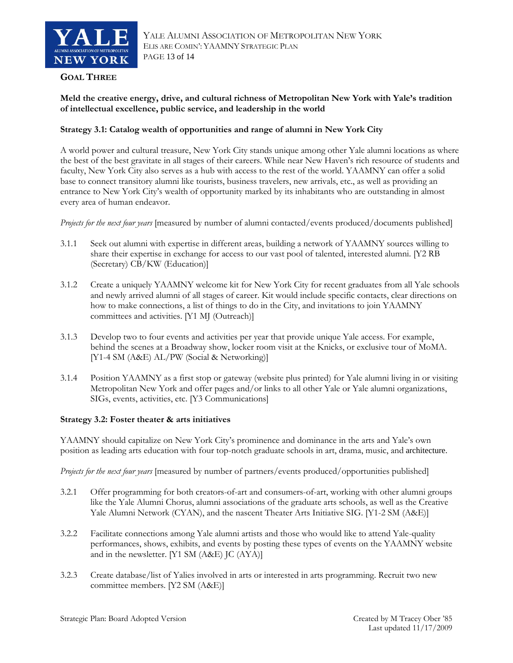<span id="page-12-0"></span>

#### **GOAL THREE**

### **Meld the creative energy, drive, and cultural richness of Metropolitan New York with Yale's tradition of intellectual excellence, public service, and leadership in the world**

#### **Strategy 3.1: Catalog wealth of opportunities and range of alumni in New York City**

A world power and cultural treasure, New York City stands unique among other Yale alumni locations as where the best of the best gravitate in all stages of their careers. While near New Haven's rich resource of students and faculty, New York City also serves as a hub with access to the rest of the world. YAAMNY can offer a solid base to connect transitory alumni like tourists, business travelers, new arrivals, etc., as well as providing an entrance to New York City's wealth of opportunity marked by its inhabitants who are outstanding in almost every area of human endeavor.

*Projects for the next four years* [measured by number of alumni contacted/events produced/documents published]

- 3.1.1 Seek out alumni with expertise in different areas, building a network of YAAMNY sources willing to share their expertise in exchange for access to our vast pool of talented, interested alumni. [Y2 RB (Secretary) CB/KW (Education)]
- 3.1.2 Create a uniquely YAAMNY welcome kit for New York City for recent graduates from all Yale schools and newly arrived alumni of all stages of career. Kit would include specific contacts, clear directions on how to make connections, a list of things to do in the City, and invitations to join YAAMNY committees and activities. [Y1 MJ (Outreach)]
- 3.1.3 Develop two to four events and activities per year that provide unique Yale access. For example, behind the scenes at a Broadway show, locker room visit at the Knicks, or exclusive tour of MoMA. [Y1-4 SM (A&E) AL/PW (Social & Networking)]
- 3.1.4 Position YAAMNY as a first stop or gateway (website plus printed) for Yale alumni living in or visiting Metropolitan New York and offer pages and/or links to all other Yale or Yale alumni organizations, SIGs, events, activities, etc. [Y3 Communications]

#### **Strategy 3.2: Foster theater & arts initiatives**

YAAMNY should capitalize on New York City's prominence and dominance in the arts and Yale's own position as leading arts education with four top-notch graduate schools in art, drama, music, and architecture.

*Projects for the next four years* [measured by number of partners/events produced/opportunities published]

- 3.2.1 Offer programming for both creators-of-art and consumers-of-art, working with other alumni groups like the Yale Alumni Chorus, alumni associations of the graduate arts schools, as well as the Creative Yale Alumni Network (CYAN), and the nascent Theater Arts Initiative SIG. [Y1-2 SM (A&E)]
- 3.2.2 Facilitate connections among Yale alumni artists and those who would like to attend Yale-quality performances, shows, exhibits, and events by posting these types of events on the YAAMNY website and in the newsletter. [Y1 SM (A&E) JC (AYA)]
- 3.2.3 Create database/list of Yalies involved in arts or interested in arts programming. Recruit two new committee members. [Y2 SM (A&E)]